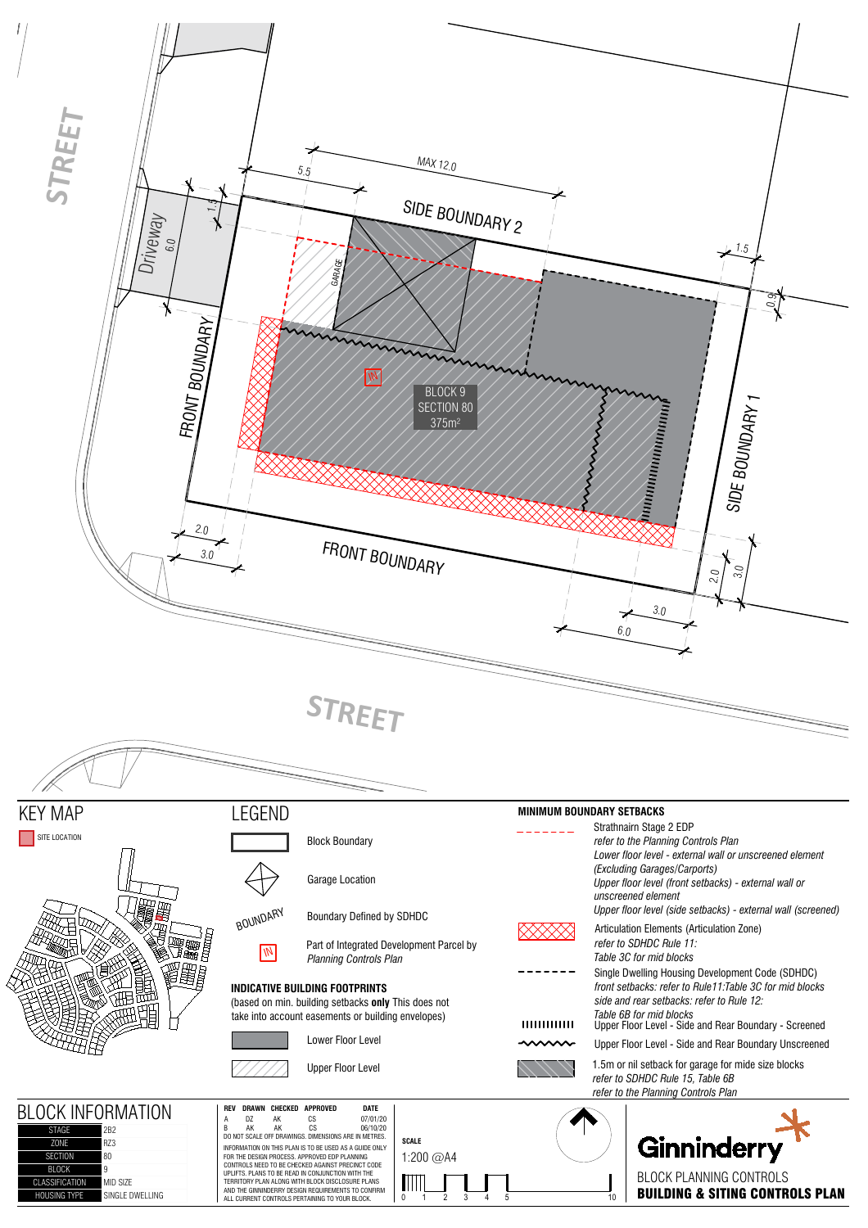